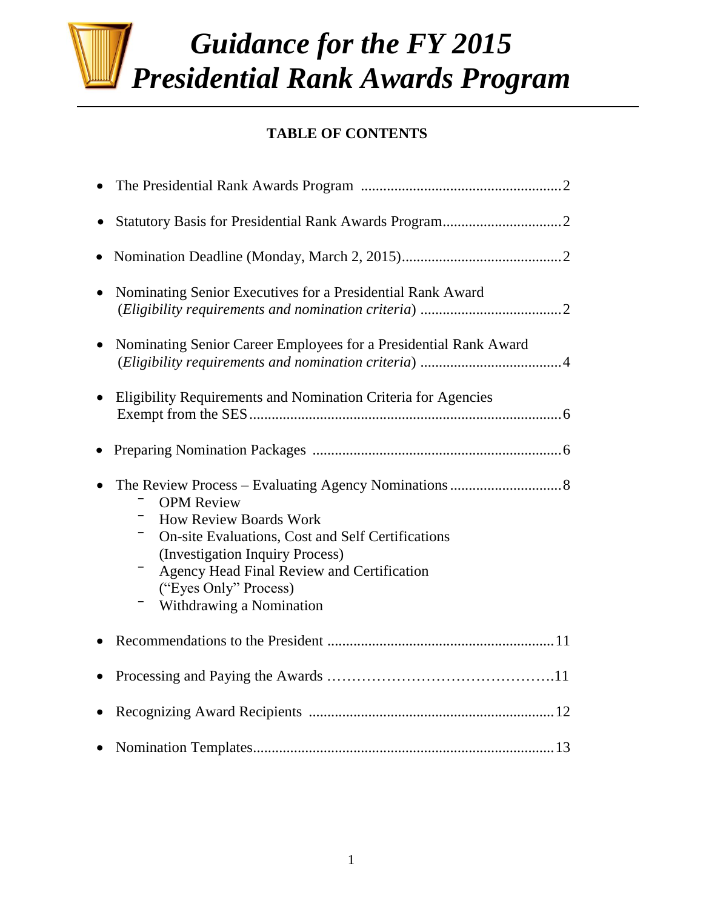# *Guidance for the FY 2015 Presidential Rank Awards Program*

# **TABLE OF CONTENTS**

| $\bullet$                                                                                                                                                                                                                                     |
|-----------------------------------------------------------------------------------------------------------------------------------------------------------------------------------------------------------------------------------------------|
| Nominating Senior Executives for a Presidential Rank Award<br>$\bullet$                                                                                                                                                                       |
| Nominating Senior Career Employees for a Presidential Rank Award<br>$\bullet$                                                                                                                                                                 |
| Eligibility Requirements and Nomination Criteria for Agencies                                                                                                                                                                                 |
|                                                                                                                                                                                                                                               |
| <b>OPM</b> Review<br><b>How Review Boards Work</b><br>On-site Evaluations, Cost and Self Certifications<br>(Investigation Inquiry Process)<br>Agency Head Final Review and Certification<br>("Eyes Only" Process)<br>Withdrawing a Nomination |
|                                                                                                                                                                                                                                               |
|                                                                                                                                                                                                                                               |
|                                                                                                                                                                                                                                               |
|                                                                                                                                                                                                                                               |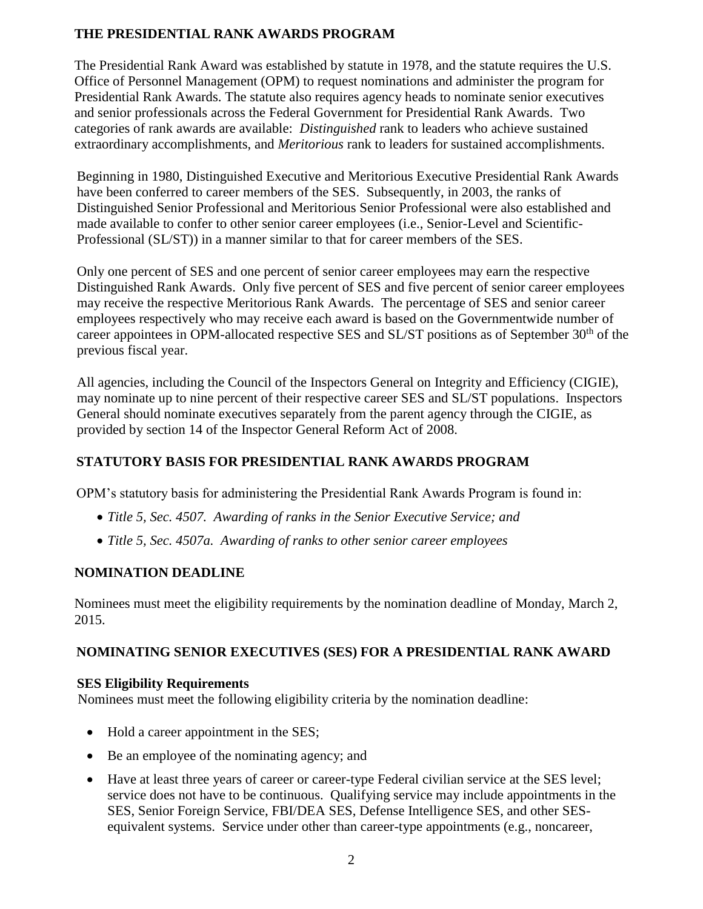# **THE PRESIDENTIAL RANK AWARDS PROGRAM**

The Presidential Rank Award was established by statute in 1978, and the statute requires the U.S. Office of Personnel Management (OPM) to request nominations and administer the program for Presidential Rank Awards. The statute also requires agency heads to nominate senior executives and senior professionals across the Federal Government for Presidential Rank Awards. Two categories of rank awards are available: *Distinguished* rank to leaders who achieve sustained extraordinary accomplishments, and *Meritorious* rank to leaders for sustained accomplishments.

Beginning in 1980, Distinguished Executive and Meritorious Executive Presidential Rank Awards have been conferred to career members of the SES. Subsequently, in 2003, the ranks of Distinguished Senior Professional and Meritorious Senior Professional were also established and made available to confer to other senior career employees (i.e., Senior-Level and Scientific-Professional (SL/ST)) in a manner similar to that for career members of the SES.

Only one percent of SES and one percent of senior career employees may earn the respective Distinguished Rank Awards. Only five percent of SES and five percent of senior career employees may receive the respective Meritorious Rank Awards. The percentage of SES and senior career employees respectively who may receive each award is based on the Governmentwide number of career appointees in OPM-allocated respective SES and SL/ST positions as of September 30<sup>th</sup> of the previous fiscal year.

All agencies, including the Council of the Inspectors General on Integrity and Efficiency (CIGIE), may nominate up to nine percent of their respective career SES and SL/ST populations. Inspectors General should nominate executives separately from the parent agency through the CIGIE, as provided by section 14 of the Inspector General Reform Act of 2008.

# **STATUTORY BASIS FOR PRESIDENTIAL RANK AWARDS PROGRAM**

OPM's statutory basis for administering the Presidential Rank Awards Program is found in:

- *Title 5, Sec. 4507. Awarding of ranks in the Senior Executive Service; and*
- *Title 5, Sec. 4507a. Awarding of ranks to other senior career employees*

# **NOMINATION DEADLINE**

Nominees must meet the eligibility requirements by the nomination deadline of Monday, March 2, 2015.

# **NOMINATING SENIOR EXECUTIVES (SES) FOR A PRESIDENTIAL RANK AWARD**

#### **SES Eligibility Requirements**

Nominees must meet the following eligibility criteria by the nomination deadline:

- Hold a career appointment in the SES;
- Be an employee of the nominating agency; and
- Have at least three years of career or career-type Federal civilian service at the SES level; service does not have to be continuous. Qualifying service may include appointments in the SES, Senior Foreign Service, FBI/DEA SES, Defense Intelligence SES, and other SESequivalent systems. Service under other than career-type appointments (e.g., noncareer,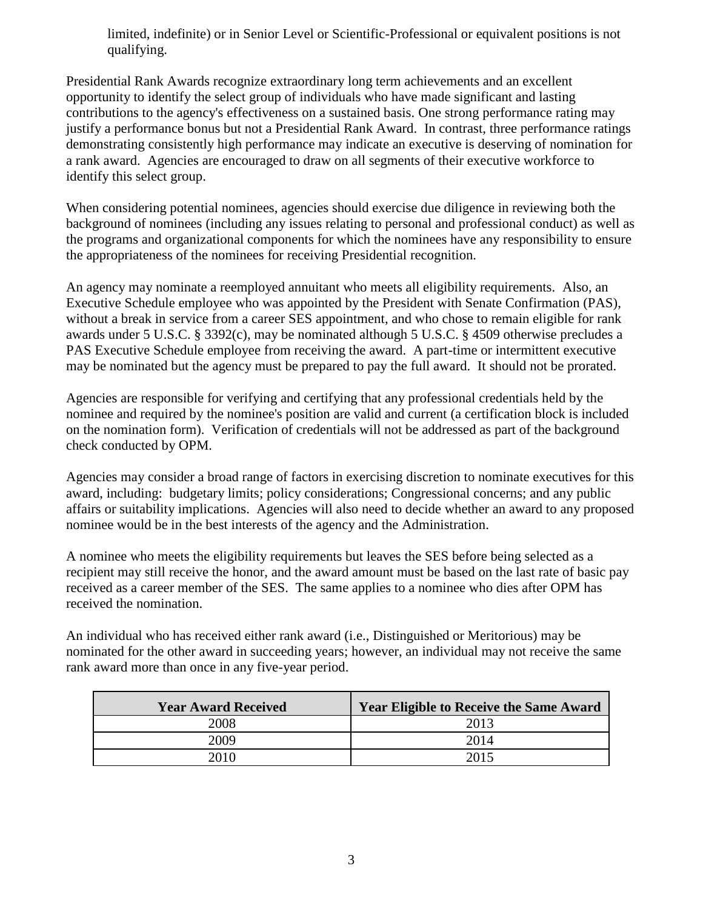limited, indefinite) or in Senior Level or Scientific-Professional or equivalent positions is not qualifying.

Presidential Rank Awards recognize extraordinary long term achievements and an excellent opportunity to identify the select group of individuals who have made significant and lasting contributions to the agency's effectiveness on a sustained basis. One strong performance rating may justify a performance bonus but not a Presidential Rank Award. In contrast, three performance ratings demonstrating consistently high performance may indicate an executive is deserving of nomination for a rank award. Agencies are encouraged to draw on all segments of their executive workforce to identify this select group.

When considering potential nominees, agencies should exercise due diligence in reviewing both the background of nominees (including any issues relating to personal and professional conduct) as well as the programs and organizational components for which the nominees have any responsibility to ensure the appropriateness of the nominees for receiving Presidential recognition.

An agency may nominate a reemployed annuitant who meets all eligibility requirements. Also, an Executive Schedule employee who was appointed by the President with Senate Confirmation (PAS), without a break in service from a career SES appointment, and who chose to remain eligible for rank awards under 5 U.S.C. § 3392(c), may be nominated although 5 U.S.C. § 4509 otherwise precludes a PAS Executive Schedule employee from receiving the award. A part-time or intermittent executive may be nominated but the agency must be prepared to pay the full award. It should not be prorated.

Agencies are responsible for verifying and certifying that any professional credentials held by the nominee and required by the nominee's position are valid and current (a certification block is included on the nomination form). Verification of credentials will not be addressed as part of the background check conducted by OPM.

Agencies may consider a broad range of factors in exercising discretion to nominate executives for this award, including: budgetary limits; policy considerations; Congressional concerns; and any public affairs or suitability implications. Agencies will also need to decide whether an award to any proposed nominee would be in the best interests of the agency and the Administration.

A nominee who meets the eligibility requirements but leaves the SES before being selected as a recipient may still receive the honor, and the award amount must be based on the last rate of basic pay received as a career member of the SES. The same applies to a nominee who dies after OPM has received the nomination.

An individual who has received either rank award (i.e., Distinguished or Meritorious) may be nominated for the other award in succeeding years; however, an individual may not receive the same rank award more than once in any five-year period.

| <b>Year Award Received</b> | <b>Year Eligible to Receive the Same Award</b> |
|----------------------------|------------------------------------------------|
| 2008                       | 2013                                           |
| 2009                       | 2014                                           |
|                            |                                                |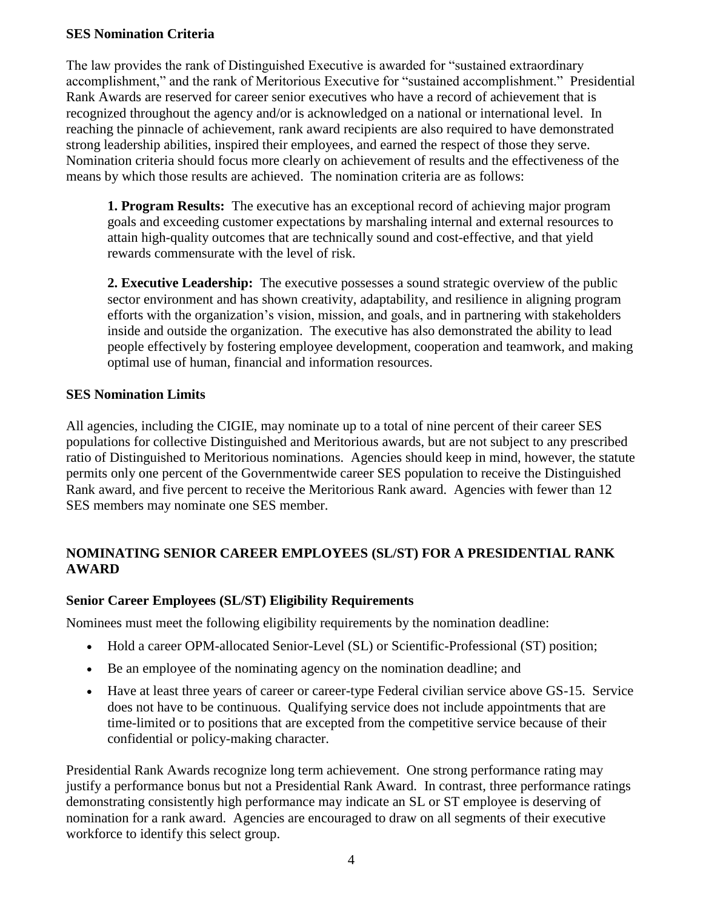#### **SES Nomination Criteria**

The law provides the rank of Distinguished Executive is awarded for "sustained extraordinary accomplishment," and the rank of Meritorious Executive for "sustained accomplishment." Presidential Rank Awards are reserved for career senior executives who have a record of achievement that is recognized throughout the agency and/or is acknowledged on a national or international level. In reaching the pinnacle of achievement, rank award recipients are also required to have demonstrated strong leadership abilities, inspired their employees, and earned the respect of those they serve. Nomination criteria should focus more clearly on achievement of results and the effectiveness of the means by which those results are achieved. The nomination criteria are as follows:

**1. Program Results:** The executive has an exceptional record of achieving major program goals and exceeding customer expectations by marshaling internal and external resources to attain high-quality outcomes that are technically sound and cost-effective, and that yield rewards commensurate with the level of risk.

**2. Executive Leadership:** The executive possesses a sound strategic overview of the public sector environment and has shown creativity, adaptability, and resilience in aligning program efforts with the organization's vision, mission, and goals, and in partnering with stakeholders inside and outside the organization. The executive has also demonstrated the ability to lead people effectively by fostering employee development, cooperation and teamwork, and making optimal use of human, financial and information resources.

#### **SES Nomination Limits**

All agencies, including the CIGIE, may nominate up to a total of nine percent of their career SES populations for collective Distinguished and Meritorious awards, but are not subject to any prescribed ratio of Distinguished to Meritorious nominations. Agencies should keep in mind, however, the statute permits only one percent of the Governmentwide career SES population to receive the Distinguished Rank award, and five percent to receive the Meritorious Rank award. Agencies with fewer than 12 SES members may nominate one SES member.

#### **NOMINATING SENIOR CAREER EMPLOYEES (SL/ST) FOR A PRESIDENTIAL RANK AWARD**

#### **Senior Career Employees (SL/ST) Eligibility Requirements**

Nominees must meet the following eligibility requirements by the nomination deadline:

- Hold a career OPM-allocated Senior-Level (SL) or Scientific-Professional (ST) position;
- Be an employee of the nominating agency on the nomination deadline; and
- Have at least three years of career or career-type Federal civilian service above GS-15. Service does not have to be continuous. Qualifying service does not include appointments that are time-limited or to positions that are excepted from the competitive service because of their confidential or policy-making character.

Presidential Rank Awards recognize long term achievement. One strong performance rating may justify a performance bonus but not a Presidential Rank Award. In contrast, three performance ratings demonstrating consistently high performance may indicate an SL or ST employee is deserving of nomination for a rank award. Agencies are encouraged to draw on all segments of their executive workforce to identify this select group.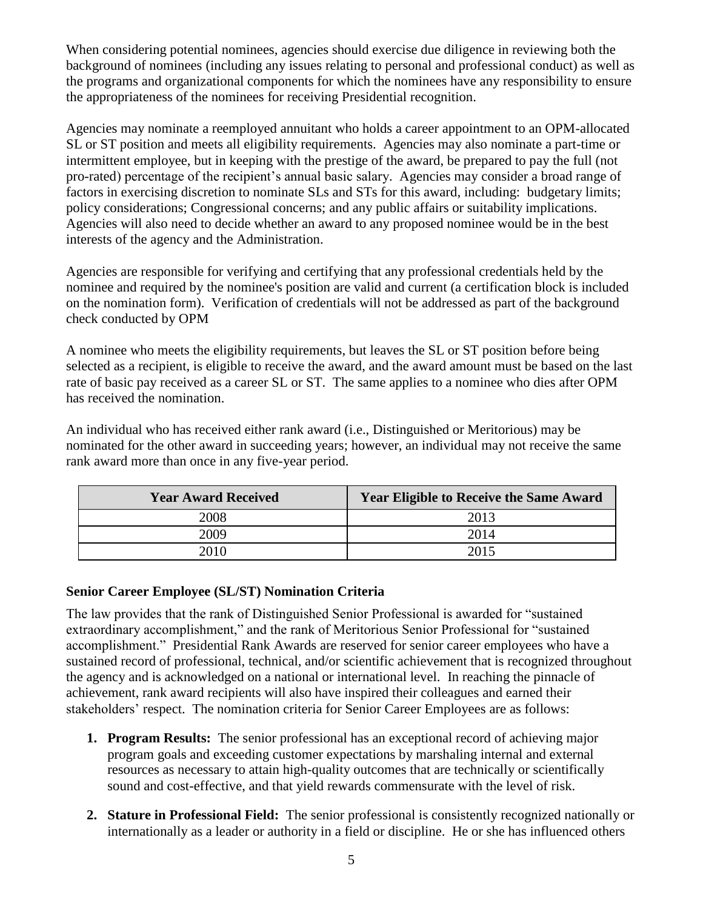When considering potential nominees, agencies should exercise due diligence in reviewing both the background of nominees (including any issues relating to personal and professional conduct) as well as the programs and organizational components for which the nominees have any responsibility to ensure the appropriateness of the nominees for receiving Presidential recognition.

Agencies may nominate a reemployed annuitant who holds a career appointment to an OPM-allocated SL or ST position and meets all eligibility requirements. Agencies may also nominate a part-time or intermittent employee, but in keeping with the prestige of the award, be prepared to pay the full (not pro-rated) percentage of the recipient's annual basic salary. Agencies may consider a broad range of factors in exercising discretion to nominate SLs and STs for this award, including: budgetary limits; policy considerations; Congressional concerns; and any public affairs or suitability implications. Agencies will also need to decide whether an award to any proposed nominee would be in the best interests of the agency and the Administration.

Agencies are responsible for verifying and certifying that any professional credentials held by the nominee and required by the nominee's position are valid and current (a certification block is included on the nomination form). Verification of credentials will not be addressed as part of the background check conducted by OPM

A nominee who meets the eligibility requirements, but leaves the SL or ST position before being selected as a recipient, is eligible to receive the award, and the award amount must be based on the last rate of basic pay received as a career SL or ST. The same applies to a nominee who dies after OPM has received the nomination.

An individual who has received either rank award (i.e., Distinguished or Meritorious) may be nominated for the other award in succeeding years; however, an individual may not receive the same rank award more than once in any five-year period.

| <b>Year Award Received</b> | <b>Year Eligible to Receive the Same Award</b> |
|----------------------------|------------------------------------------------|
| 2008                       | 2013                                           |
| 2009                       | 2014                                           |
| ንበ1በ                       |                                                |

#### **Senior Career Employee (SL/ST) Nomination Criteria**

The law provides that the rank of Distinguished Senior Professional is awarded for "sustained extraordinary accomplishment," and the rank of Meritorious Senior Professional for "sustained accomplishment." Presidential Rank Awards are reserved for senior career employees who have a sustained record of professional, technical, and/or scientific achievement that is recognized throughout the agency and is acknowledged on a national or international level. In reaching the pinnacle of achievement, rank award recipients will also have inspired their colleagues and earned their stakeholders' respect. The nomination criteria for Senior Career Employees are as follows:

- **1. Program Results:** The senior professional has an exceptional record of achieving major program goals and exceeding customer expectations by marshaling internal and external resources as necessary to attain high-quality outcomes that are technically or scientifically sound and cost-effective, and that yield rewards commensurate with the level of risk.
- **2. Stature in Professional Field:** The senior professional is consistently recognized nationally or internationally as a leader or authority in a field or discipline. He or she has influenced others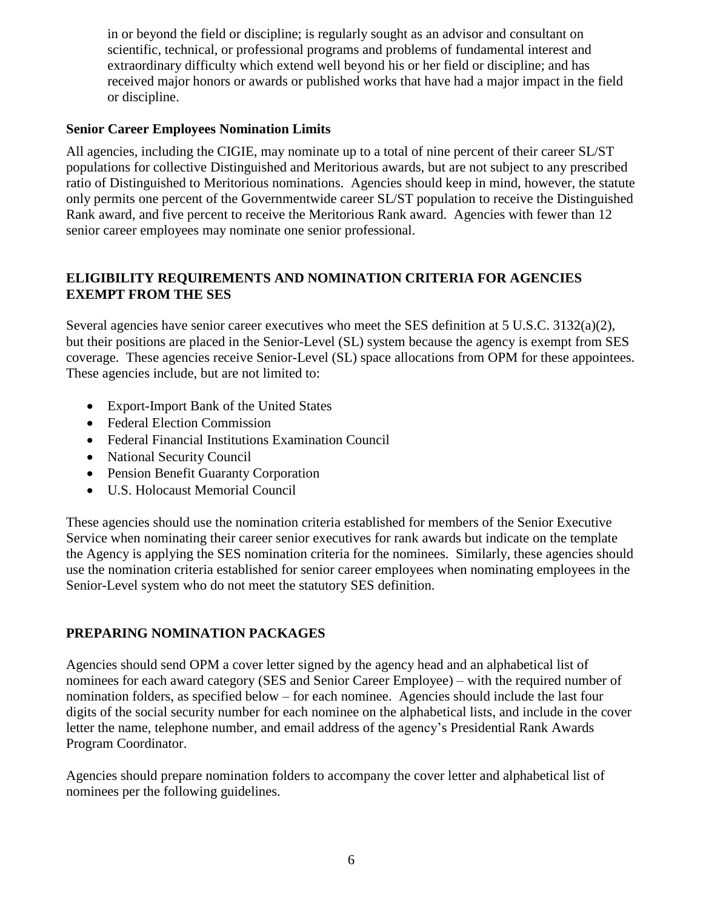in or beyond the field or discipline; is regularly sought as an advisor and consultant on scientific, technical, or professional programs and problems of fundamental interest and extraordinary difficulty which extend well beyond his or her field or discipline; and has received major honors or awards or published works that have had a major impact in the field or discipline.

#### **Senior Career Employees Nomination Limits**

All agencies, including the CIGIE, may nominate up to a total of nine percent of their career SL/ST populations for collective Distinguished and Meritorious awards, but are not subject to any prescribed ratio of Distinguished to Meritorious nominations. Agencies should keep in mind, however, the statute only permits one percent of the Governmentwide career SL/ST population to receive the Distinguished Rank award, and five percent to receive the Meritorious Rank award. Agencies with fewer than 12 senior career employees may nominate one senior professional.

#### **ELIGIBILITY REQUIREMENTS AND NOMINATION CRITERIA FOR AGENCIES EXEMPT FROM THE SES**

Several agencies have senior career executives who meet the SES definition at 5 U.S.C. 3132(a)(2), but their positions are placed in the Senior-Level (SL) system because the agency is exempt from SES coverage. These agencies receive Senior-Level (SL) space allocations from OPM for these appointees. These agencies include, but are not limited to:

- Export-Import Bank of the United States
- Federal Election Commission
- Federal Financial Institutions Examination Council
- National Security Council
- Pension Benefit Guaranty Corporation
- U.S. Holocaust Memorial Council

These agencies should use the nomination criteria established for members of the Senior Executive Service when nominating their career senior executives for rank awards but indicate on the template the Agency is applying the SES nomination criteria for the nominees. Similarly, these agencies should use the nomination criteria established for senior career employees when nominating employees in the Senior-Level system who do not meet the statutory SES definition.

#### **PREPARING NOMINATION PACKAGES**

Agencies should send OPM a cover letter signed by the agency head and an alphabetical list of nominees for each award category (SES and Senior Career Employee) – with the required number of nomination folders, as specified below – for each nominee. Agencies should include the last four digits of the social security number for each nominee on the alphabetical lists, and include in the cover letter the name, telephone number, and email address of the agency's Presidential Rank Awards Program Coordinator.

Agencies should prepare nomination folders to accompany the cover letter and alphabetical list of nominees per the following guidelines.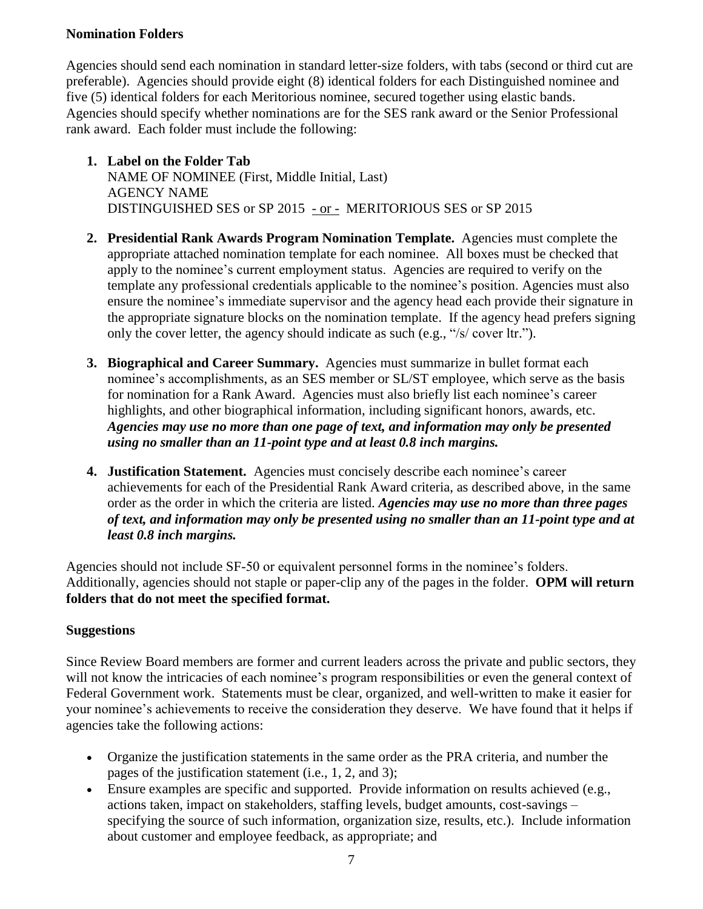#### **Nomination Folders**

Agencies should send each nomination in standard letter-size folders, with tabs (second or third cut are preferable). Agencies should provide eight (8) identical folders for each Distinguished nominee and five (5) identical folders for each Meritorious nominee, secured together using elastic bands. Agencies should specify whether nominations are for the SES rank award or the Senior Professional rank award. Each folder must include the following:

- **1. Label on the Folder Tab** NAME OF NOMINEE (First, Middle Initial, Last) AGENCY NAME DISTINGUISHED SES or SP 2015 - or - MERITORIOUS SES or SP 2015
- **2. Presidential Rank Awards Program Nomination Template.** Agencies must complete the appropriate attached nomination template for each nominee. All boxes must be checked that apply to the nominee's current employment status. Agencies are required to verify on the template any professional credentials applicable to the nominee's position. Agencies must also ensure the nominee's immediate supervisor and the agency head each provide their signature in the appropriate signature blocks on the nomination template. If the agency head prefers signing only the cover letter, the agency should indicate as such (e.g., "/s/ cover ltr.").
- **3. Biographical and Career Summary.** Agencies must summarize in bullet format each nominee's accomplishments, as an SES member or SL/ST employee, which serve as the basis for nomination for a Rank Award. Agencies must also briefly list each nominee's career highlights, and other biographical information, including significant honors, awards, etc. *Agencies may use no more than one page of text, and information may only be presented using no smaller than an 11-point type and at least 0.8 inch margins.*
- **4. Justification Statement.** Agencies must concisely describe each nominee's career achievements for each of the Presidential Rank Award criteria, as described above, in the same order as the order in which the criteria are listed. *Agencies may use no more than three pages of text, and information may only be presented using no smaller than an 11-point type and at least 0.8 inch margins.*

Agencies should not include SF-50 or equivalent personnel forms in the nominee's folders. Additionally, agencies should not staple or paper-clip any of the pages in the folder. **OPM will return folders that do not meet the specified format.** 

# **Suggestions**

Since Review Board members are former and current leaders across the private and public sectors, they will not know the intricacies of each nominee's program responsibilities or even the general context of Federal Government work. Statements must be clear, organized, and well-written to make it easier for your nominee's achievements to receive the consideration they deserve. We have found that it helps if agencies take the following actions:

- Organize the justification statements in the same order as the PRA criteria, and number the pages of the justification statement (i.e., 1, 2, and 3);
- Ensure examples are specific and supported. Provide information on results achieved (e.g., actions taken, impact on stakeholders, staffing levels, budget amounts, cost-savings – specifying the source of such information, organization size, results, etc.). Include information about customer and employee feedback, as appropriate; and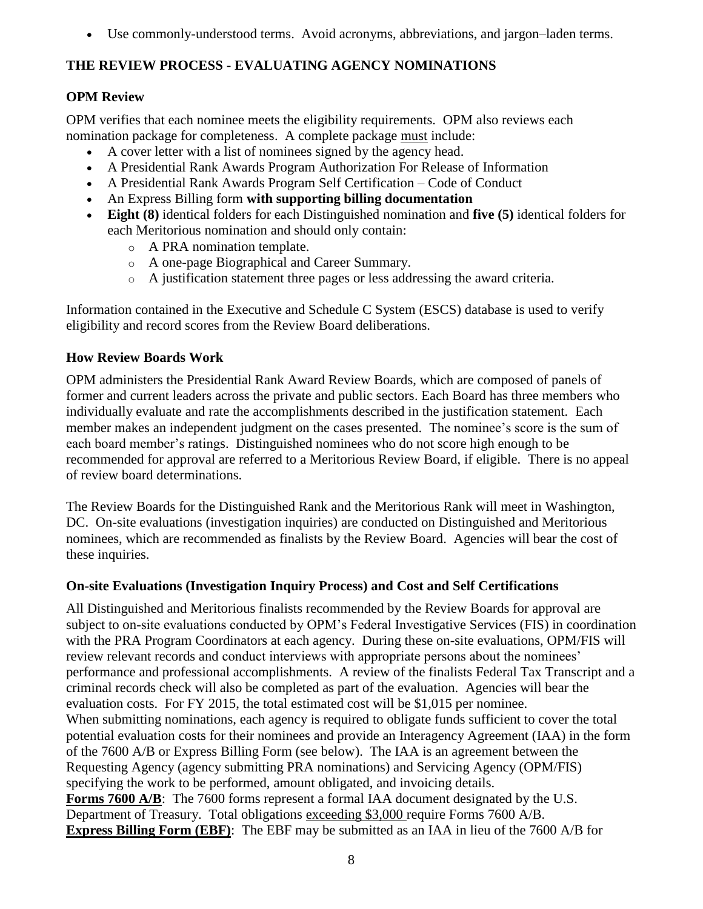Use commonly-understood terms. Avoid acronyms, abbreviations, and jargon–laden terms.

# **THE REVIEW PROCESS - EVALUATING AGENCY NOMINATIONS**

# **OPM Review**

OPM verifies that each nominee meets the eligibility requirements. OPM also reviews each nomination package for completeness. A complete package must include:

- A cover letter with a list of nominees signed by the agency head.
- A Presidential Rank Awards Program Authorization For Release of Information
- A Presidential Rank Awards Program Self Certification Code of Conduct
- An Express Billing form **with supporting billing documentation**
- **Eight (8)** identical folders for each Distinguished nomination and **five (5)** identical folders for each Meritorious nomination and should only contain:
	- o A PRA nomination template.
	- o A one-page Biographical and Career Summary.
	- o A justification statement three pages or less addressing the award criteria.

Information contained in the Executive and Schedule C System (ESCS) database is used to verify eligibility and record scores from the Review Board deliberations.

# **How Review Boards Work**

OPM administers the Presidential Rank Award Review Boards, which are composed of panels of former and current leaders across the private and public sectors. Each Board has three members who individually evaluate and rate the accomplishments described in the justification statement. Each member makes an independent judgment on the cases presented. The nominee's score is the sum of each board member's ratings. Distinguished nominees who do not score high enough to be recommended for approval are referred to a Meritorious Review Board, if eligible. There is no appeal of review board determinations.

The Review Boards for the Distinguished Rank and the Meritorious Rank will meet in Washington, DC. On-site evaluations (investigation inquiries) are conducted on Distinguished and Meritorious nominees, which are recommended as finalists by the Review Board. Agencies will bear the cost of these inquiries.

# **On-site Evaluations (Investigation Inquiry Process) and Cost and Self Certifications**

All Distinguished and Meritorious finalists recommended by the Review Boards for approval are subject to on-site evaluations conducted by OPM's Federal Investigative Services (FIS) in coordination with the PRA Program Coordinators at each agency. During these on-site evaluations, OPM/FIS will review relevant records and conduct interviews with appropriate persons about the nominees' performance and professional accomplishments. A review of the finalists Federal Tax Transcript and a criminal records check will also be completed as part of the evaluation. Agencies will bear the evaluation costs. For FY 2015, the total estimated cost will be \$1,015 per nominee. When submitting nominations, each agency is required to obligate funds sufficient to cover the total potential evaluation costs for their nominees and provide an Interagency Agreement (IAA) in the form of the 7600 A/B or Express Billing Form (see below). The IAA is an agreement between the Requesting Agency (agency submitting PRA nominations) and Servicing Agency (OPM/FIS) specifying the work to be performed, amount obligated, and invoicing details. **Forms 7600 A/B**: The 7600 forms represent a formal IAA document designated by the U.S. Department of Treasury. Total obligations exceeding \$3,000 require Forms 7600 A/B. **Express Billing Form (EBF)**: The EBF may be submitted as an IAA in lieu of the 7600 A/B for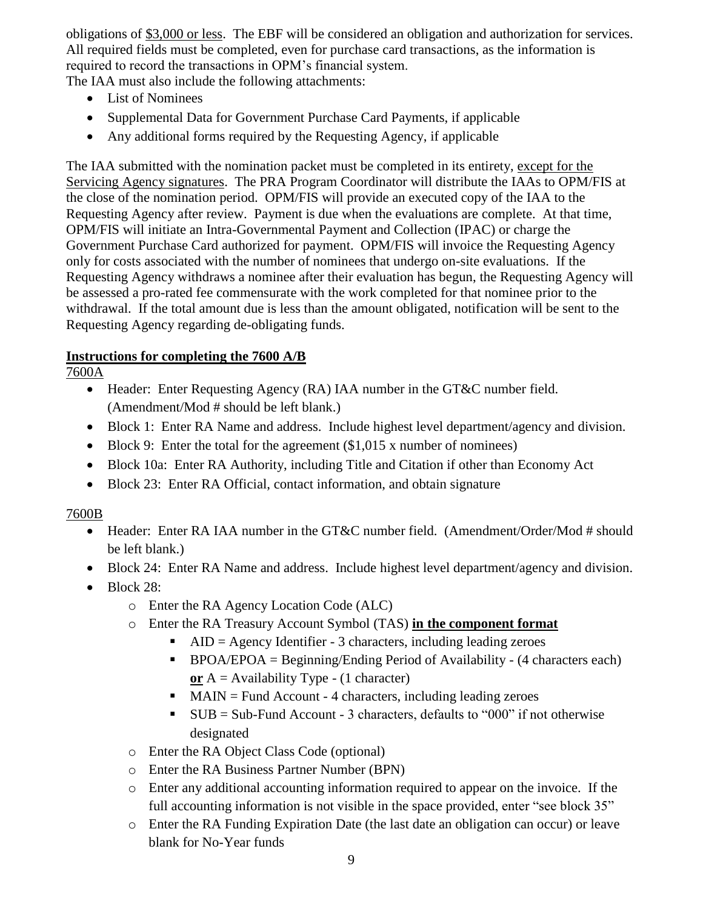obligations of \$3,000 or less. The EBF will be considered an obligation and authorization for services. All required fields must be completed, even for purchase card transactions, as the information is required to record the transactions in OPM's financial system.

The IAA must also include the following attachments:

- List of Nominees
- Supplemental Data for Government Purchase Card Payments, if applicable
- Any additional forms required by the Requesting Agency, if applicable

The IAA submitted with the nomination packet must be completed in its entirety, except for the Servicing Agency signatures. The PRA Program Coordinator will distribute the IAAs to OPM/FIS at the close of the nomination period. OPM/FIS will provide an executed copy of the IAA to the Requesting Agency after review. Payment is due when the evaluations are complete. At that time, OPM/FIS will initiate an Intra-Governmental Payment and Collection (IPAC) or charge the Government Purchase Card authorized for payment. OPM/FIS will invoice the Requesting Agency only for costs associated with the number of nominees that undergo on-site evaluations. If the Requesting Agency withdraws a nominee after their evaluation has begun, the Requesting Agency will be assessed a pro-rated fee commensurate with the work completed for that nominee prior to the withdrawal. If the total amount due is less than the amount obligated, notification will be sent to the Requesting Agency regarding de-obligating funds.

# **Instructions for completing the 7600 A/B**

7600A

- Header: Enter Requesting Agency (RA) IAA number in the GT&C number field. (Amendment/Mod # should be left blank.)
- Block 1: Enter RA Name and address. Include highest level department/agency and division.
- $\bullet$  Block 9: Enter the total for the agreement (\$1,015 x number of nominees)
- Block 10a: Enter RA Authority, including Title and Citation if other than Economy Act
- Block 23: Enter RA Official, contact information, and obtain signature

# 7600B

- Header: Enter RA IAA number in the GT&C number field. (Amendment/Order/Mod # should be left blank.)
- Block 24: Enter RA Name and address. Include highest level department/agency and division.
- $\bullet$  Block 28:
	- o Enter the RA Agency Location Code (ALC)
	- o Enter the RA Treasury Account Symbol (TAS) **in the component format**
		- $\blacksquare$  AID = Agency Identifier 3 characters, including leading zeroes
		- BPOA/EPOA = Beginning/Ending Period of Availability (4 characters each) **or** A = Availability Type - (1 character)
		- $MAN = Fund Account 4 characters, including leading zeroes$
		- $\bullet$  SUB = Sub-Fund Account 3 characters, defaults to "000" if not otherwise designated
	- o Enter the RA Object Class Code (optional)
	- o Enter the RA Business Partner Number (BPN)
	- o Enter any additional accounting information required to appear on the invoice. If the full accounting information is not visible in the space provided, enter "see block 35"
	- o Enter the RA Funding Expiration Date (the last date an obligation can occur) or leave blank for No-Year funds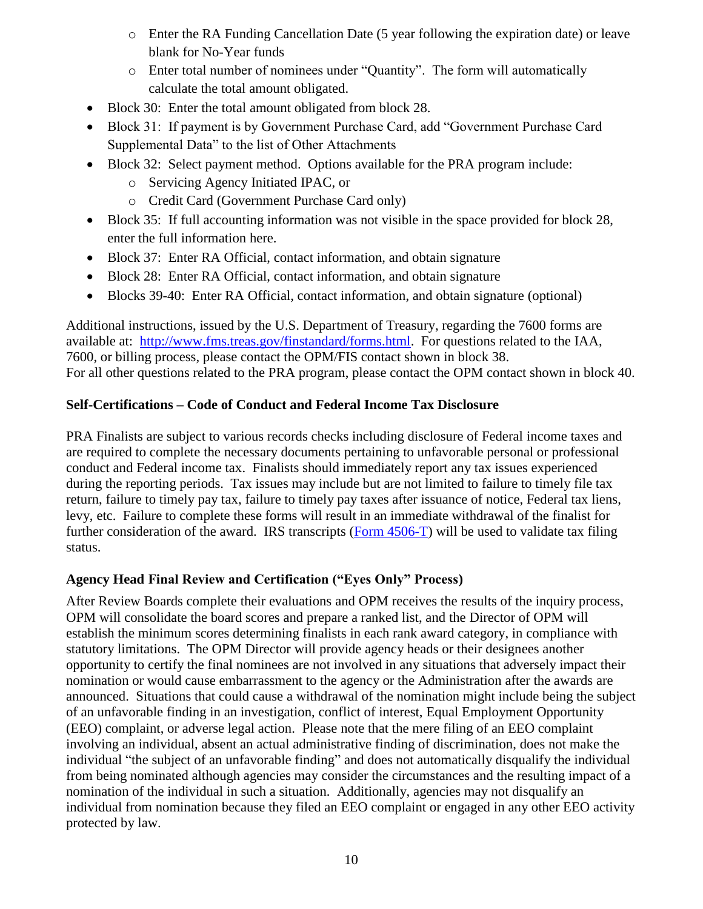- o Enter the RA Funding Cancellation Date (5 year following the expiration date) or leave blank for No-Year funds
- o Enter total number of nominees under "Quantity". The form will automatically calculate the total amount obligated.
- Block 30: Enter the total amount obligated from block 28.
- Block 31: If payment is by Government Purchase Card, add "Government Purchase Card Supplemental Data" to the list of Other Attachments
- Block 32: Select payment method. Options available for the PRA program include:
	- o Servicing Agency Initiated IPAC, or
	- o Credit Card (Government Purchase Card only)
- Block 35: If full accounting information was not visible in the space provided for block 28, enter the full information here.
- Block 37: Enter RA Official, contact information, and obtain signature
- Block 28: Enter RA Official, contact information, and obtain signature
- Blocks 39-40: Enter RA Official, contact information, and obtain signature (optional)

Additional instructions, issued by the U.S. Department of Treasury, regarding the 7600 forms are available at: [http://www.fms.treas.gov/finstandard/forms.html.](http://www.fms.treas.gov/finstandard/forms.html) For questions related to the IAA, 7600, or billing process, please contact the OPM/FIS contact shown in block 38. For all other questions related to the PRA program, please contact the OPM contact shown in block 40.

# **Self-Certifications – Code of Conduct and Federal Income Tax Disclosure**

PRA Finalists are subject to various records checks including disclosure of Federal income taxes and are required to complete the necessary documents pertaining to unfavorable personal or professional conduct and Federal income tax. Finalists should immediately report any tax issues experienced during the reporting periods. Tax issues may include but are not limited to failure to timely file tax return, failure to timely pay tax, failure to timely pay taxes after issuance of notice, Federal tax liens, levy, etc. Failure to complete these forms will result in an immediate withdrawal of the finalist for further consideration of the award. IRS transcripts [\(Form 4506-T\)](http://www.irs.gov/pub/irs-pdf/f4506t.pdf) will be used to validate tax filing status.

# **Agency Head Final Review and Certification ("Eyes Only" Process)**

After Review Boards complete their evaluations and OPM receives the results of the inquiry process, OPM will consolidate the board scores and prepare a ranked list, and the Director of OPM will establish the minimum scores determining finalists in each rank award category, in compliance with statutory limitations. The OPM Director will provide agency heads or their designees another opportunity to certify the final nominees are not involved in any situations that adversely impact their nomination or would cause embarrassment to the agency or the Administration after the awards are announced. Situations that could cause a withdrawal of the nomination might include being the subject of an unfavorable finding in an investigation, conflict of interest, Equal Employment Opportunity (EEO) complaint, or adverse legal action. Please note that the mere filing of an EEO complaint involving an individual, absent an actual administrative finding of discrimination, does not make the individual "the subject of an unfavorable finding" and does not automatically disqualify the individual from being nominated although agencies may consider the circumstances and the resulting impact of a nomination of the individual in such a situation. Additionally, agencies may not disqualify an individual from nomination because they filed an EEO complaint or engaged in any other EEO activity protected by law.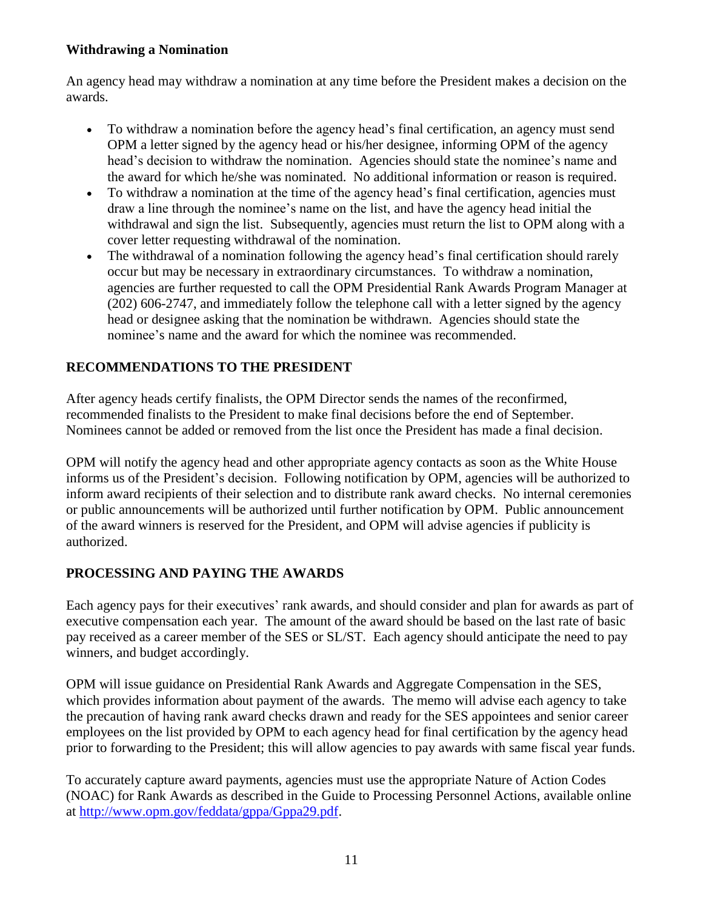#### **Withdrawing a Nomination**

An agency head may withdraw a nomination at any time before the President makes a decision on the awards.

- To withdraw a nomination before the agency head's final certification, an agency must send OPM a letter signed by the agency head or his/her designee, informing OPM of the agency head's decision to withdraw the nomination. Agencies should state the nominee's name and the award for which he/she was nominated. No additional information or reason is required.
- To withdraw a nomination at the time of the agency head's final certification, agencies must draw a line through the nominee's name on the list, and have the agency head initial the withdrawal and sign the list. Subsequently, agencies must return the list to OPM along with a cover letter requesting withdrawal of the nomination.
- The withdrawal of a nomination following the agency head's final certification should rarely occur but may be necessary in extraordinary circumstances. To withdraw a nomination, agencies are further requested to call the OPM Presidential Rank Awards Program Manager at (202) 606-2747, and immediately follow the telephone call with a letter signed by the agency head or designee asking that the nomination be withdrawn. Agencies should state the nominee's name and the award for which the nominee was recommended.

# **RECOMMENDATIONS TO THE PRESIDENT**

After agency heads certify finalists, the OPM Director sends the names of the reconfirmed, recommended finalists to the President to make final decisions before the end of September. Nominees cannot be added or removed from the list once the President has made a final decision.

OPM will notify the agency head and other appropriate agency contacts as soon as the White House informs us of the President's decision. Following notification by OPM, agencies will be authorized to inform award recipients of their selection and to distribute rank award checks. No internal ceremonies or public announcements will be authorized until further notification by OPM. Public announcement of the award winners is reserved for the President, and OPM will advise agencies if publicity is authorized.

# **PROCESSING AND PAYING THE AWARDS**

Each agency pays for their executives' rank awards, and should consider and plan for awards as part of executive compensation each year. The amount of the award should be based on the last rate of basic pay received as a career member of the SES or SL/ST. Each agency should anticipate the need to pay winners, and budget accordingly.

OPM will issue guidance on Presidential Rank Awards and Aggregate Compensation in the SES, which provides information about payment of the awards. The memo will advise each agency to take the precaution of having rank award checks drawn and ready for the SES appointees and senior career employees on the list provided by OPM to each agency head for final certification by the agency head prior to forwarding to the President; this will allow agencies to pay awards with same fiscal year funds.

To accurately capture award payments, agencies must use the appropriate Nature of Action Codes (NOAC) for Rank Awards as described in the Guide to Processing Personnel Actions, available online at [http://www.opm.gov/feddata/gppa/Gppa29.pdf.](http://www.opm.gov/feddata/gppa/Gppa29.pdf)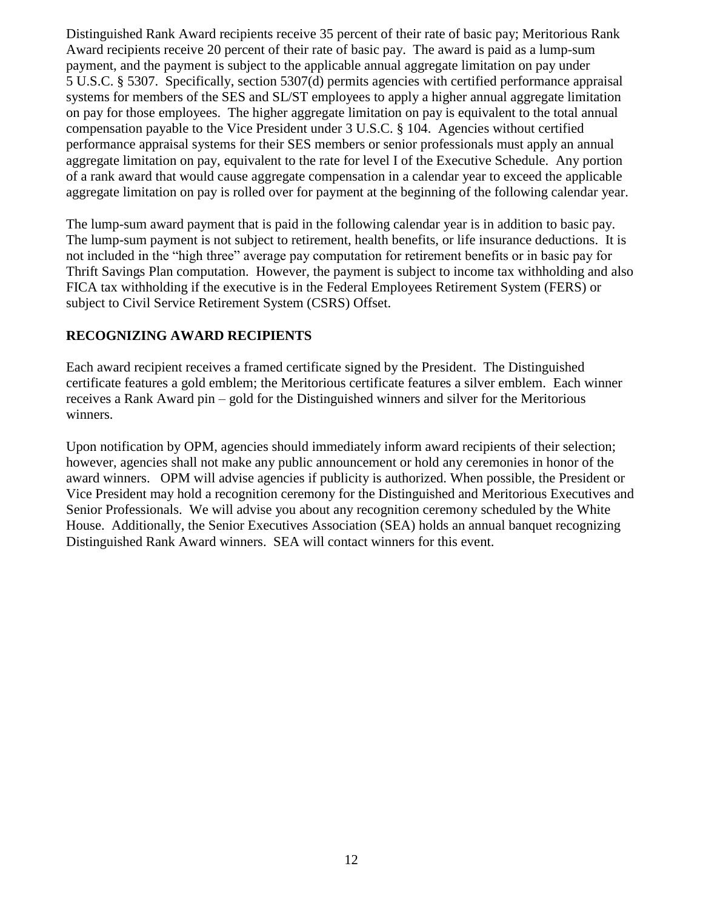Distinguished Rank Award recipients receive 35 percent of their rate of basic pay; Meritorious Rank Award recipients receive 20 percent of their rate of basic pay. The award is paid as a lump-sum payment, and the payment is subject to the applicable annual aggregate limitation on pay under 5 U.S.C. § 5307. Specifically, section 5307(d) permits agencies with certified performance appraisal systems for members of the SES and SL/ST employees to apply a higher annual aggregate limitation on pay for those employees. The higher aggregate limitation on pay is equivalent to the total annual compensation payable to the Vice President under 3 U.S.C. § 104. Agencies without certified performance appraisal systems for their SES members or senior professionals must apply an annual aggregate limitation on pay, equivalent to the rate for level I of the Executive Schedule. Any portion of a rank award that would cause aggregate compensation in a calendar year to exceed the applicable aggregate limitation on pay is rolled over for payment at the beginning of the following calendar year.

The lump-sum award payment that is paid in the following calendar year is in addition to basic pay. The lump-sum payment is not subject to retirement, health benefits, or life insurance deductions. It is not included in the "high three" average pay computation for retirement benefits or in basic pay for Thrift Savings Plan computation. However, the payment is subject to income tax withholding and also FICA tax withholding if the executive is in the Federal Employees Retirement System (FERS) or subject to Civil Service Retirement System (CSRS) Offset.

#### **RECOGNIZING AWARD RECIPIENTS**

Each award recipient receives a framed certificate signed by the President. The Distinguished certificate features a gold emblem; the Meritorious certificate features a silver emblem. Each winner receives a Rank Award pin – gold for the Distinguished winners and silver for the Meritorious winners.

Upon notification by OPM, agencies should immediately inform award recipients of their selection; however, agencies shall not make any public announcement or hold any ceremonies in honor of the award winners. OPM will advise agencies if publicity is authorized. When possible, the President or Vice President may hold a recognition ceremony for the Distinguished and Meritorious Executives and Senior Professionals. We will advise you about any recognition ceremony scheduled by the White House. Additionally, the Senior Executives Association (SEA) holds an annual banquet recognizing Distinguished Rank Award winners. SEA will contact winners for this event.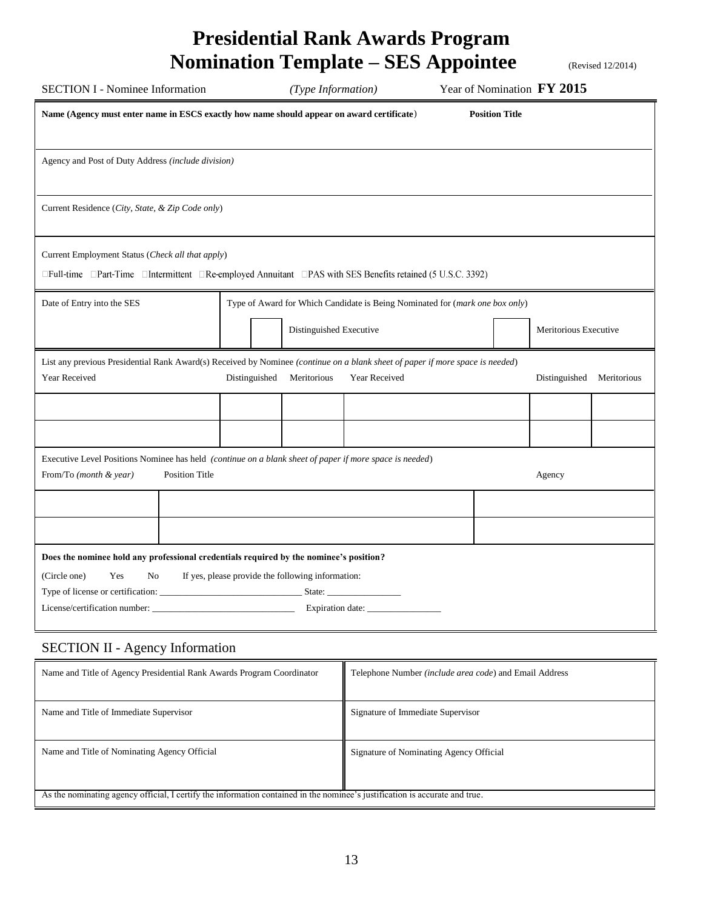# **Presidential Rank Awards Program Nomination Template – SES Appointee** (Revised 12/2014)

| <b>SECTION I - Nominee Information</b>                                                                                                         |  |                                                  | (Type Information) |               |  |  | Year of Nomination FY 2015 |             |
|------------------------------------------------------------------------------------------------------------------------------------------------|--|--------------------------------------------------|--------------------|---------------|--|--|----------------------------|-------------|
| Name (Agency must enter name in ESCS exactly how name should appear on award certificate)<br><b>Position Title</b>                             |  |                                                  |                    |               |  |  |                            |             |
|                                                                                                                                                |  |                                                  |                    |               |  |  |                            |             |
| Agency and Post of Duty Address (include division)                                                                                             |  |                                                  |                    |               |  |  |                            |             |
|                                                                                                                                                |  |                                                  |                    |               |  |  |                            |             |
| Current Residence (City, State, & Zip Code only)                                                                                               |  |                                                  |                    |               |  |  |                            |             |
|                                                                                                                                                |  |                                                  |                    |               |  |  |                            |             |
| Current Employment Status (Check all that apply)                                                                                               |  |                                                  |                    |               |  |  |                            |             |
| □Full-time □Part-Time □Intermittent □Re-employed Annuitant □PAS with SES Benefits retained (5 U.S.C. 3392)                                     |  |                                                  |                    |               |  |  |                            |             |
| Date of Entry into the SES<br>Type of Award for Which Candidate is Being Nominated for (mark one box only)                                     |  |                                                  |                    |               |  |  |                            |             |
|                                                                                                                                                |  | Distinguished Executive<br>Meritorious Executive |                    |               |  |  |                            |             |
|                                                                                                                                                |  |                                                  |                    |               |  |  |                            |             |
| List any previous Presidential Rank Award(s) Received by Nominee (continue on a blank sheet of paper if more space is needed)<br>Year Received |  | Distinguished                                    | Meritorious        | Year Received |  |  | Distinguished              | Meritorious |
|                                                                                                                                                |  |                                                  |                    |               |  |  |                            |             |
|                                                                                                                                                |  |                                                  |                    |               |  |  |                            |             |
|                                                                                                                                                |  |                                                  |                    |               |  |  |                            |             |
| Executive Level Positions Nominee has held (continue on a blank sheet of paper if more space is needed)<br><b>Position Title</b>               |  |                                                  |                    |               |  |  |                            |             |
| From/To (month & year)                                                                                                                         |  |                                                  |                    |               |  |  | Agency                     |             |
|                                                                                                                                                |  |                                                  |                    |               |  |  |                            |             |
|                                                                                                                                                |  |                                                  |                    |               |  |  |                            |             |
| Does the nominee hold any professional credentials required by the nominee's position?                                                         |  |                                                  |                    |               |  |  |                            |             |
| (Circle one)<br>Yes<br>If yes, please provide the following information:<br>No                                                                 |  |                                                  |                    |               |  |  |                            |             |
| State:                                                                                                                                         |  |                                                  |                    |               |  |  |                            |             |
|                                                                                                                                                |  |                                                  |                    |               |  |  |                            |             |
|                                                                                                                                                |  |                                                  |                    |               |  |  |                            |             |

# SECTION II - Agency Information

| Name and Title of Agency Presidential Rank Awards Program Coordinator                                                       | Telephone Number (include area code) and Email Address |
|-----------------------------------------------------------------------------------------------------------------------------|--------------------------------------------------------|
| Name and Title of Immediate Supervisor                                                                                      | Signature of Immediate Supervisor                      |
| Name and Title of Nominating Agency Official                                                                                | Signature of Nominating Agency Official                |
| As the nominating agency official, I certify the information contained in the nominee's justification is accurate and true. |                                                        |